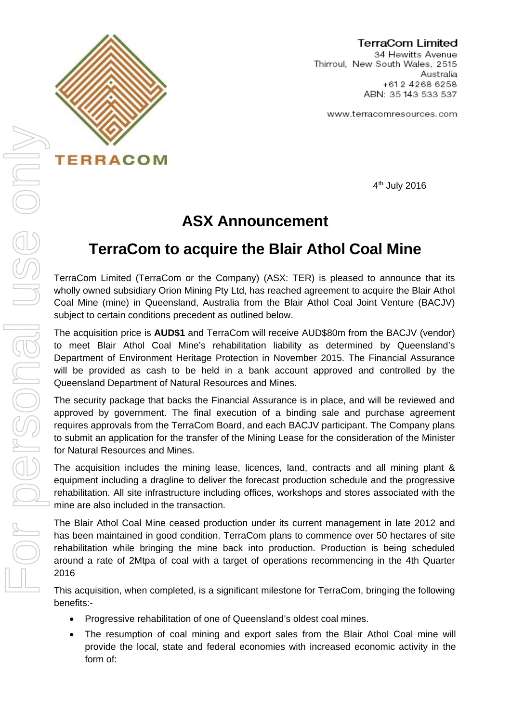

**TERRACOM** 

**TerraCom Limited** 

34 Hewitts Avenue Thirroul, New South Wales, 2515 Australia +612 4268 6258 ABN: 35 143 533 537

www.terracomresources.com

4th July 2016

## **ASX Announcement**

## **TerraCom to acquire the Blair Athol Coal Mine**

TerraCom Limited (TerraCom or the Company) (ASX: TER) is pleased to announce that its wholly owned subsidiary Orion Mining Pty Ltd, has reached agreement to acquire the Blair Athol Coal Mine (mine) in Queensland, Australia from the Blair Athol Coal Joint Venture (BACJV) subject to certain conditions precedent as outlined below.

The acquisition price is **AUD\$1** and TerraCom will receive AUD\$80m from the BACJV (vendor) to meet Blair Athol Coal Mine's rehabilitation liability as determined by Queensland's Department of Environment Heritage Protection in November 2015. The Financial Assurance will be provided as cash to be held in a bank account approved and controlled by the Queensland Department of Natural Resources and Mines.

The security package that backs the Financial Assurance is in place, and will be reviewed and approved by government. The final execution of a binding sale and purchase agreement requires approvals from the TerraCom Board, and each BACJV participant. The Company plans to submit an application for the transfer of the Mining Lease for the consideration of the Minister for Natural Resources and Mines.

The acquisition includes the mining lease, licences, land, contracts and all mining plant & equipment including a dragline to deliver the forecast production schedule and the progressive rehabilitation. All site infrastructure including offices, workshops and stores associated with the mine are also included in the transaction.

The Blair Athol Coal Mine ceased production under its current management in late 2012 and has been maintained in good condition. TerraCom plans to commence over 50 hectares of site rehabilitation while bringing the mine back into production. Production is being scheduled around a rate of 2Mtpa of coal with a target of operations recommencing in the 4th Quarter 2016

This acquisition, when completed, is a significant milestone for TerraCom, bringing the following benefits:-

- Progressive rehabilitation of one of Queensland's oldest coal mines.
- The resumption of coal mining and export sales from the Blair Athol Coal mine will provide the local, state and federal economies with increased economic activity in the form of: